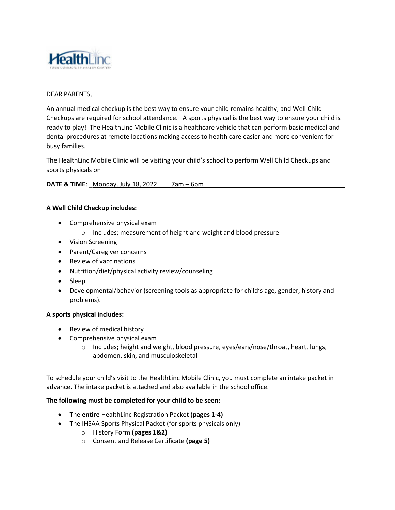

## DEAR PARENTS,

An annual medical checkup is the best way to ensure your child remains healthy, and Well Child Checkups are required for school attendance. A sports physical is the best way to ensure your child is ready to play! The HealthLinc Mobile Clinic is a healthcare vehicle that can perform basic medical and dental procedures at remote locations making access to health care easier and more convenient for busy families.

The HealthLinc Mobile Clinic will be visiting your child's school to perform Well Child Checkups and sports physicals on

**DATE & TIME:** Monday, July 18, 2022 7am – 6pm

## **A Well Child Checkup includes:**

- Comprehensive physical exam
	- o Includes; measurement of height and weight and blood pressure
- Vision Screening
- Parent/Caregiver concerns
- Review of vaccinations
- Nutrition/diet/physical activity review/counseling
- Sleep

 $\overline{a}$ 

 Developmental/behavior (screening tools as appropriate for child's age, gender, history and problems).

## **A sports physical includes:**

- Review of medical history
- Comprehensive physical exam
	- o Includes; height and weight, blood pressure, eyes/ears/nose/throat, heart, lungs, abdomen, skin, and musculoskeletal

To schedule your child's visit to the HealthLinc Mobile Clinic, you must complete an intake packet in advance. The intake packet is attached and also available in the school office.

## **The following must be completed for your child to be seen:**

- The **entire** HealthLinc Registration Packet (**pages 1-4)**
- The IHSAA Sports Physical Packet (for sports physicals only)
	- o History Form **(pages 1&2)**
	- o Consent and Release Certificate **(page 5)**